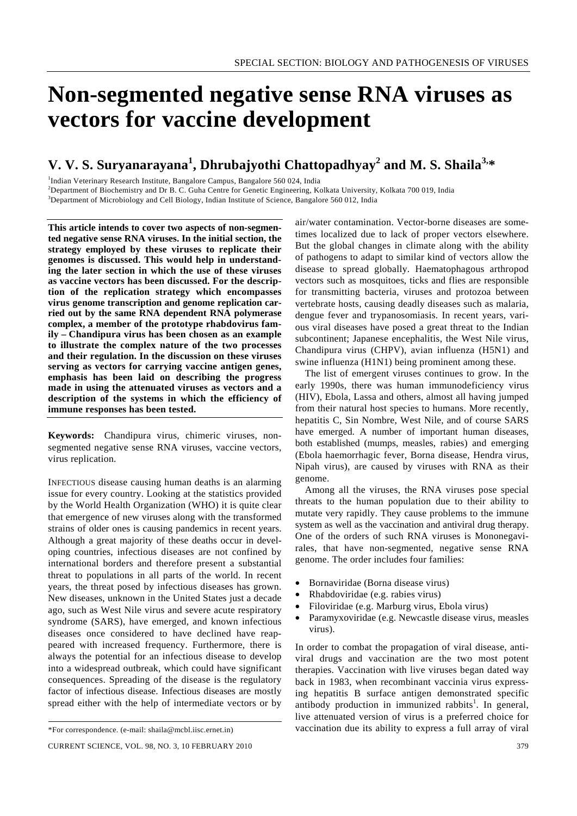# **Non-segmented negative sense RNA viruses as vectors for vaccine development**

# **V. V. S. Suryanarayana<sup>1</sup> , Dhrubajyothi Chattopadhyay<sup>2</sup> and M. S. Shaila3,\***

<sup>1</sup>Indian Veterinary Research Institute, Bangalore Campus, Bangalore 560 024, India

2 Department of Biochemistry and Dr B. C. Guha Centre for Genetic Engineering, Kolkata University, Kolkata 700 019, India

3 Department of Microbiology and Cell Biology, Indian Institute of Science, Bangalore 560 012, India

**This article intends to cover two aspects of non-segmented negative sense RNA viruses. In the initial section, the strategy employed by these viruses to replicate their genomes is discussed. This would help in understanding the later section in which the use of these viruses as vaccine vectors has been discussed. For the description of the replication strategy which encompasses virus genome transcription and genome replication carried out by the same RNA dependent RNA polymerase complex, a member of the prototype rhabdovirus family – Chandipura virus has been chosen as an example to illustrate the complex nature of the two processes and their regulation. In the discussion on these viruses serving as vectors for carrying vaccine antigen genes, emphasis has been laid on describing the progress made in using the attenuated viruses as vectors and a description of the systems in which the efficiency of immune responses has been tested.** 

**Keywords:** Chandipura virus, chimeric viruses, nonsegmented negative sense RNA viruses, vaccine vectors, virus replication.

INFECTIOUS disease causing human deaths is an alarming issue for every country. Looking at the statistics provided by the World Health Organization (WHO) it is quite clear that emergence of new viruses along with the transformed strains of older ones is causing pandemics in recent years. Although a great majority of these deaths occur in developing countries, infectious diseases are not confined by international borders and therefore present a substantial threat to populations in all parts of the world. In recent years, the threat posed by infectious diseases has grown. New diseases, unknown in the United States just a decade ago, such as West Nile virus and severe acute respiratory syndrome (SARS), have emerged, and known infectious diseases once considered to have declined have reappeared with increased frequency. Furthermore, there is always the potential for an infectious disease to develop into a widespread outbreak, which could have significant consequences. Spreading of the disease is the regulatory factor of infectious disease. Infectious diseases are mostly spread either with the help of intermediate vectors or by air/water contamination. Vector-borne diseases are sometimes localized due to lack of proper vectors elsewhere. But the global changes in climate along with the ability of pathogens to adapt to similar kind of vectors allow the disease to spread globally. Haematophagous arthropod vectors such as mosquitoes, ticks and flies are responsible for transmitting bacteria, viruses and protozoa between vertebrate hosts, causing deadly diseases such as malaria, dengue fever and trypanosomiasis. In recent years, various viral diseases have posed a great threat to the Indian subcontinent; Japanese encephalitis, the West Nile virus, Chandipura virus (CHPV), avian influenza (H5N1) and swine influenza (H1N1) being prominent among these.

 The list of emergent viruses continues to grow. In the early 1990s, there was human immunodeficiency virus (HIV), Ebola, Lassa and others, almost all having jumped from their natural host species to humans. More recently, hepatitis C, Sin Nombre, West Nile, and of course SARS have emerged. A number of important human diseases, both established (mumps, measles, rabies) and emerging (Ebola haemorrhagic fever, Borna disease, Hendra virus, Nipah virus), are caused by viruses with RNA as their genome.

 Among all the viruses, the RNA viruses pose special threats to the human population due to their ability to mutate very rapidly. They cause problems to the immune system as well as the vaccination and antiviral drug therapy. One of the orders of such RNA viruses is Mononegavirales, that have non-segmented, negative sense RNA genome. The order includes four families:

- Bornaviridae (Borna disease virus)
- Rhabdoviridae (e.g. rabies virus)
- Filoviridae (e.g. Marburg virus, Ebola virus)
- Paramyxoviridae (e.g. Newcastle disease virus, measles virus).

In order to combat the propagation of viral disease, antiviral drugs and vaccination are the two most potent therapies. Vaccination with live viruses began dated way back in 1983, when recombinant vaccinia virus expressing hepatitis B surface antigen demonstrated specific antibody production in immunized rabbits<sup>1</sup>. In general, live attenuated version of virus is a preferred choice for vaccination due its ability to express a full array of viral

<sup>\*</sup>For correspondence. (e-mail: shaila@mcbl.iisc.ernet.in)

CURRENT SCIENCE, VOL. 98, NO. 3, 10 FEBRUARY 2010 379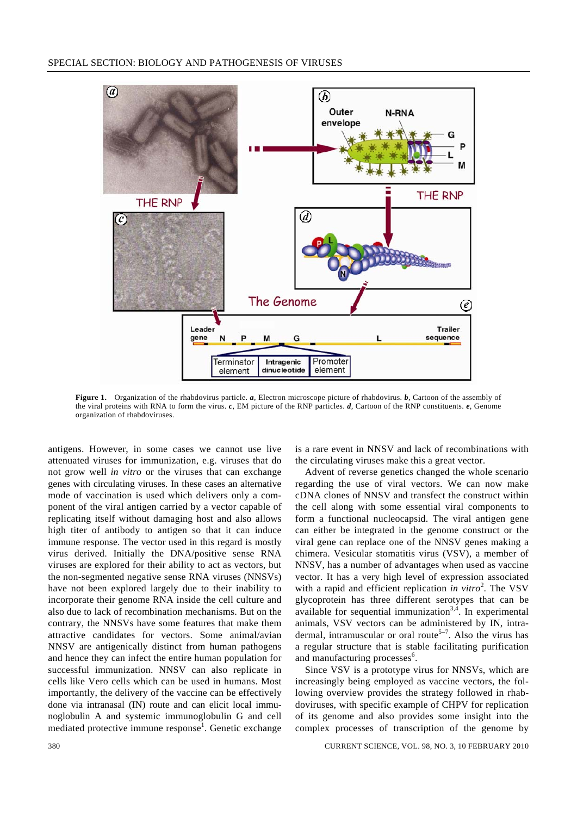

**Figure 1.** Organization of the rhabdovirus particle. *a*, Electron microscope picture of rhabdovirus. *b*, Cartoon of the assembly of the viral proteins with RNA to form the virus. *c*, EM picture of the RNP particles. *d*, Cartoon of the RNP constituents. *e*, Genome organization of rhabdoviruses.

antigens. However, in some cases we cannot use live attenuated viruses for immunization, e.g. viruses that do not grow well *in vitro* or the viruses that can exchange genes with circulating viruses. In these cases an alternative mode of vaccination is used which delivers only a component of the viral antigen carried by a vector capable of replicating itself without damaging host and also allows high titer of antibody to antigen so that it can induce immune response. The vector used in this regard is mostly virus derived. Initially the DNA/positive sense RNA viruses are explored for their ability to act as vectors, but the non-segmented negative sense RNA viruses (NNSVs) have not been explored largely due to their inability to incorporate their genome RNA inside the cell culture and also due to lack of recombination mechanisms. But on the contrary, the NNSVs have some features that make them attractive candidates for vectors. Some animal/avian NNSV are antigenically distinct from human pathogens and hence they can infect the entire human population for successful immunization. NNSV can also replicate in cells like Vero cells which can be used in humans. Most importantly, the delivery of the vaccine can be effectively done via intranasal (IN) route and can elicit local immunoglobulin A and systemic immunoglobulin G and cell mediated protective immune response<sup>1</sup>. Genetic exchange is a rare event in NNSV and lack of recombinations with the circulating viruses make this a great vector.

 Advent of reverse genetics changed the whole scenario regarding the use of viral vectors. We can now make cDNA clones of NNSV and transfect the construct within the cell along with some essential viral components to form a functional nucleocapsid. The viral antigen gene can either be integrated in the genome construct or the viral gene can replace one of the NNSV genes making a chimera. Vesicular stomatitis virus (VSV), a member of NNSV, has a number of advantages when used as vaccine vector. It has a very high level of expression associated with a rapid and efficient replication *in vitro*<sup>2</sup>. The VSV glycoprotein has three different serotypes that can be available for sequential immunization<sup>3,4</sup>. In experimental animals, VSV vectors can be administered by IN, intradermal, intramuscular or oral route<sup>5-7</sup>. Also the virus has a regular structure that is stable facilitating purification and manufacturing processes<sup>6</sup>.

 Since VSV is a prototype virus for NNSVs, which are increasingly being employed as vaccine vectors, the following overview provides the strategy followed in rhabdoviruses, with specific example of CHPV for replication of its genome and also provides some insight into the complex processes of transcription of the genome by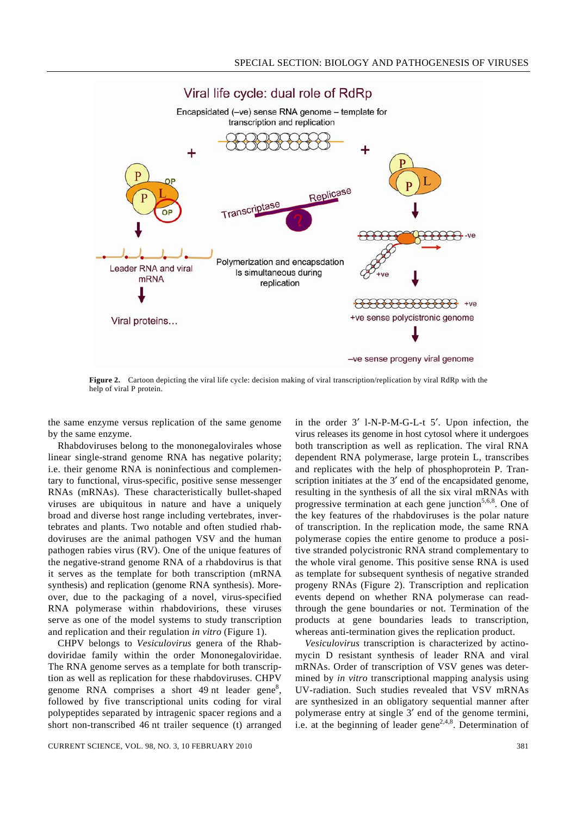

**Figure 2.** Cartoon depicting the viral life cycle: decision making of viral transcription/replication by viral RdRp with the help of viral P protein.

the same enzyme versus replication of the same genome by the same enzyme.

 Rhabdoviruses belong to the mononegalovirales whose linear single-strand genome RNA has negative polarity; i.e. their genome RNA is noninfectious and complementary to functional, virus-specific, positive sense messenger RNAs (mRNAs). These characteristically bullet-shaped viruses are ubiquitous in nature and have a uniquely broad and diverse host range including vertebrates, invertebrates and plants. Two notable and often studied rhabdoviruses are the animal pathogen VSV and the human pathogen rabies virus (RV). One of the unique features of the negative-strand genome RNA of a rhabdovirus is that it serves as the template for both transcription (mRNA synthesis) and replication (genome RNA synthesis). Moreover, due to the packaging of a novel, virus-specified RNA polymerase within rhabdovirions, these viruses serve as one of the model systems to study transcription and replication and their regulation *in vitro* (Figure 1).

 CHPV belongs to *Vesiculovirus* genera of the Rhabdoviridae family within the order Mononegaloviridae. The RNA genome serves as a template for both transcription as well as replication for these rhabdoviruses. CHPV genome RNA comprises a short  $49$  nt leader gene<sup>8</sup>, followed by five transcriptional units coding for viral polypeptides separated by intragenic spacer regions and a short non-transcribed 46 nt trailer sequence (t) arranged

in the order 3′ l-N-P-M-G-L-t 5′. Upon infection, the virus releases its genome in host cytosol where it undergoes both transcription as well as replication. The viral RNA dependent RNA polymerase, large protein L, transcribes and replicates with the help of phosphoprotein P. Transcription initiates at the 3<sup>'</sup> end of the encapsidated genome, resulting in the synthesis of all the six viral mRNAs with progressive termination at each gene junction<sup>5,6,8</sup>. One of the key features of the rhabdoviruses is the polar nature of transcription. In the replication mode, the same RNA polymerase copies the entire genome to produce a positive stranded polycistronic RNA strand complementary to the whole viral genome. This positive sense RNA is used as template for subsequent synthesis of negative stranded progeny RNAs (Figure 2). Transcription and replication events depend on whether RNA polymerase can readthrough the gene boundaries or not. Termination of the products at gene boundaries leads to transcription, whereas anti-termination gives the replication product.

*Vesiculovirus* transcription is characterized by actinomycin D resistant synthesis of leader RNA and viral mRNAs. Order of transcription of VSV genes was determined by *in vitro* transcriptional mapping analysis using UV-radiation. Such studies revealed that VSV mRNAs are synthesized in an obligatory sequential manner after polymerase entry at single 3′ end of the genome termini, i.e. at the beginning of leader gene<sup>2,4,8</sup>. Determination of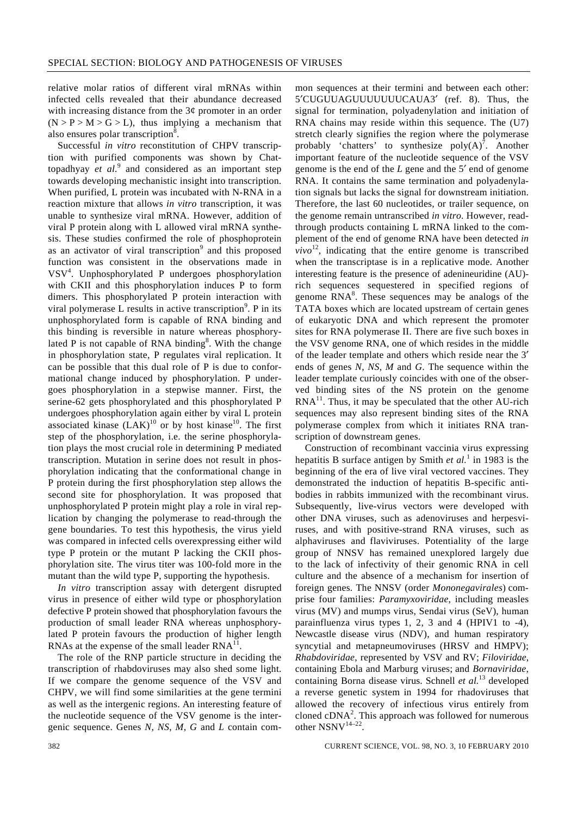relative molar ratios of different viral mRNAs within infected cells revealed that their abundance decreased with increasing distance from the  $3¢$  promoter in an order  $(N > P > M > G > L)$ , thus implying a mechanism that also ensures polar transcription<sup>8</sup>.

 Successful *in vitro* reconstitution of CHPV transcription with purified components was shown by Chattopadhyay *et al.*<sup>9</sup> and considered as an important step towards developing mechanistic insight into transcription. When purified, L protein was incubated with N-RNA in a reaction mixture that allows *in vitro* transcription, it was unable to synthesize viral mRNA. However, addition of viral P protein along with L allowed viral mRNA synthesis. These studies confirmed the role of phosphoprotein as an activator of viral transcription<sup>9</sup> and this proposed function was consistent in the observations made in VSV<sup>4</sup> . Unphosphorylated P undergoes phosphorylation with CKII and this phosphorylation induces P to form dimers. This phosphorylated P protein interaction with viral polymerase L results in active transcription<sup>9</sup>. P in its unphosphorylated form is capable of RNA binding and this binding is reversible in nature whereas phosphorylated P is not capable of RNA binding<sup>8</sup>. With the change in phosphorylation state, P regulates viral replication. It can be possible that this dual role of P is due to conformational change induced by phosphorylation. P undergoes phosphorylation in a stepwise manner. First, the serine-62 gets phosphorylated and this phosphorylated P undergoes phosphorylation again either by viral L protein associated kinase  $(LAK)^{10}$  or by host kinase<sup>10</sup>. The first step of the phosphorylation, i.e. the serine phosphorylation plays the most crucial role in determining P mediated transcription. Mutation in serine does not result in phosphorylation indicating that the conformational change in P protein during the first phosphorylation step allows the second site for phosphorylation. It was proposed that unphosphorylated P protein might play a role in viral replication by changing the polymerase to read-through the gene boundaries. To test this hypothesis, the virus yield was compared in infected cells overexpressing either wild type P protein or the mutant P lacking the CKII phosphorylation site. The virus titer was 100-fold more in the mutant than the wild type P, supporting the hypothesis.

*In vitro* transcription assay with detergent disrupted virus in presence of either wild type or phosphorylation defective P protein showed that phosphorylation favours the production of small leader RNA whereas unphosphorylated P protein favours the production of higher length RNAs at the expense of the small leader  $RNA<sup>11</sup>$ .

 The role of the RNP particle structure in deciding the transcription of rhabdoviruses may also shed some light. If we compare the genome sequence of the VSV and CHPV, we will find some similarities at the gene termini as well as the intergenic regions. An interesting feature of the nucleotide sequence of the VSV genome is the intergenic sequence. Genes *N*, *NS*, *M*, *G* and *L* contain common sequences at their termini and between each other: 5′CUGUUAGUUUUUUUCAUA3′ (ref. 8). Thus, the signal for termination, polyadenylation and initiation of RNA chains may reside within this sequence. The (U7) stretch clearly signifies the region where the polymerase probably 'chatters' to synthesize  $poly(A)^7$ . Another important feature of the nucleotide sequence of the VSV genome is the end of the *L* gene and the 5′ end of genome RNA. It contains the same termination and polyadenylation signals but lacks the signal for downstream initiation. Therefore, the last 60 nucleotides, or trailer sequence, on the genome remain untranscribed *in vitro*. However, readthrough products containing L mRNA linked to the complement of the end of genome RNA have been detected *in*   $vivo<sup>12</sup>$ , indicating that the entire genome is transcribed when the transcriptase is in a replicative mode. Another interesting feature is the presence of adenineuridine (AU) rich sequences sequestered in specified regions of genome  $RNA<sup>8</sup>$ . These sequences may be analogs of the TATA boxes which are located upstream of certain genes of eukaryotic DNA and which represent the promoter sites for RNA polymerase II. There are five such boxes in the VSV genome RNA, one of which resides in the middle of the leader template and others which reside near the 3′ ends of genes *N*, *NS*, *M* and *G*. The sequence within the leader template curiously coincides with one of the observed binding sites of the NS protein on the genome  $RNA<sup>11</sup>$ . Thus, it may be speculated that the other AU-rich sequences may also represent binding sites of the RNA polymerase complex from which it initiates RNA transcription of downstream genes.

 Construction of recombinant vaccinia virus expressing hepatitis B surface antigen by Smith *et al.*<sup>1</sup> in 1983 is the beginning of the era of live viral vectored vaccines. They demonstrated the induction of hepatitis B-specific antibodies in rabbits immunized with the recombinant virus. Subsequently, live-virus vectors were developed with other DNA viruses, such as adenoviruses and herpesviruses, and with positive-strand RNA viruses, such as alphaviruses and flaviviruses. Potentiality of the large group of NNSV has remained unexplored largely due to the lack of infectivity of their genomic RNA in cell culture and the absence of a mechanism for insertion of foreign genes. The NNSV (order *Mononegavirales*) comprise four families: *Paramyxoviridae*, including measles virus (MV) and mumps virus, Sendai virus (SeV), human parainfluenza virus types 1, 2, 3 and 4 (HPIV1 to -4), Newcastle disease virus (NDV), and human respiratory syncytial and metapneumoviruses (HRSV and HMPV); *Rhabdoviridae*, represented by VSV and RV; *Filoviridae*, containing Ebola and Marburg viruses; and *Bornaviridae*, containing Borna disease virus. Schnell *et al.*13 developed a reverse genetic system in 1994 for rhadoviruses that allowed the recovery of infectious virus entirely from cloned  $\text{cDNA}^2$ . This approach was followed for numerous other NSNV14–22.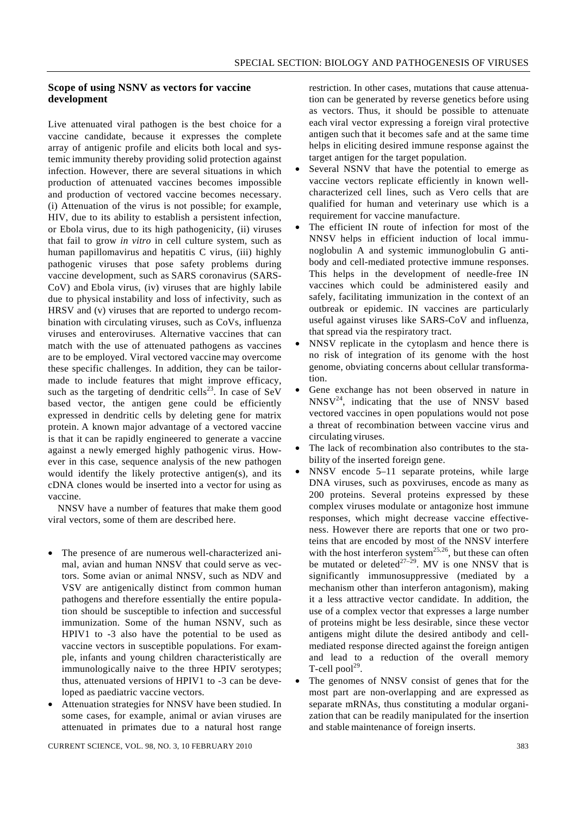# **Scope of using NSNV as vectors for vaccine development**

Live attenuated viral pathogen is the best choice for a vaccine candidate, because it expresses the complete array of antigenic profile and elicits both local and systemic immunity thereby providing solid protection against infection. However, there are several situations in which production of attenuated vaccines becomes impossible and production of vectored vaccine becomes necessary. (i) Attenuation of the virus is not possible; for example, HIV, due to its ability to establish a persistent infection, or Ebola virus, due to its high pathogenicity, (ii) viruses that fail to grow *in vitro* in cell culture system, such as human papillomavirus and hepatitis C virus, (iii) highly pathogenic viruses that pose safety problems during vaccine development, such as SARS coronavirus (SARS-CoV) and Ebola virus, (iv) viruses that are highly labile due to physical instability and loss of infectivity, such as HRSV and (v) viruses that are reported to undergo recombination with circulating viruses, such as CoVs, influenza viruses and enteroviruses. Alternative vaccines that can match with the use of attenuated pathogens as vaccines are to be employed. Viral vectored vaccine may overcome these specific challenges. In addition, they can be tailormade to include features that might improve efficacy, such as the targeting of dendritic cells<sup>23</sup>. In case of SeV based vector, the antigen gene could be efficiently expressed in dendritic cells by deleting gene for matrix protein. A known major advantage of a vectored vaccine is that it can be rapidly engineered to generate a vaccine against a newly emerged highly pathogenic virus. However in this case, sequence analysis of the new pathogen would identify the likely protective antigen(s), and its cDNA clones would be inserted into a vector for using as vaccine.

 NNSV have a number of features that make them good viral vectors, some of them are described here.

- The presence of are numerous well-characterized animal, avian and human NNSV that could serve as vectors. Some avian or animal NNSV, such as NDV and VSV are antigenically distinct from common human pathogens and therefore essentially the entire population should be susceptible to infection and successful immunization. Some of the human NSNV, such as HPIV1 to -3 also have the potential to be used as vaccine vectors in susceptible populations. For example, infants and young children characteristically are immunologically naive to the three HPIV serotypes; thus, attenuated versions of HPIV1 to -3 can be developed as paediatric vaccine vectors.
- Attenuation strategies for NNSV have been studied. In some cases, for example, animal or avian viruses are attenuated in primates due to a natural host range

CURRENT SCIENCE, VOL. 98, NO. 3, 10 FEBRUARY 2010 383

restriction. In other cases, mutations that cause attenuation can be generated by reverse genetics before using as vectors. Thus, it should be possible to attenuate each viral vector expressing a foreign viral protective antigen such that it becomes safe and at the same time helps in eliciting desired immune response against the target antigen for the target population.

- Several NSNV that have the potential to emerge as vaccine vectors replicate efficiently in known wellcharacterized cell lines, such as Vero cells that are qualified for human and veterinary use which is a requirement for vaccine manufacture.
- The efficient IN route of infection for most of the NNSV helps in efficient induction of local immunoglobulin A and systemic immunoglobulin G antibody and cell-mediated protective immune responses. This helps in the development of needle-free IN vaccines which could be administered easily and safely, facilitating immunization in the context of an outbreak or epidemic. IN vaccines are particularly useful against viruses like SARS-CoV and influenza, that spread via the respiratory tract.
- NNSV replicate in the cytoplasm and hence there is no risk of integration of its genome with the host genome, obviating concerns about cellular transformation.
- Gene exchange has not been observed in nature in  $NNSV<sup>24</sup>$ , indicating that the use of NNSV based vectored vaccines in open populations would not pose a threat of recombination between vaccine virus and circulating viruses.
- The lack of recombination also contributes to the stability of the inserted foreign gene.
- NNSV encode 5–11 separate proteins, while large DNA viruses, such as poxviruses, encode as many as 200 proteins. Several proteins expressed by these complex viruses modulate or antagonize host immune responses, which might decrease vaccine effectiveness. However there are reports that one or two proteins that are encoded by most of the NNSV interfere with the host interferon system<sup>25,26</sup>, but these can often be mutated or deleted<sup>27–29</sup>. MV is one NNSV that is significantly immunosuppressive (mediated by a mechanism other than interferon antagonism), making it a less attractive vector candidate. In addition, the use of a complex vector that expresses a large number of proteins might be less desirable, since these vector antigens might dilute the desired antibody and cellmediated response directed against the foreign antigen and lead to a reduction of the overall memory T-cell  $pool<sup>29</sup>$ .
- The genomes of NNSV consist of genes that for the most part are non-overlapping and are expressed as separate mRNAs, thus constituting a modular organization that can be readily manipulated for the insertion and stable maintenance of foreign inserts.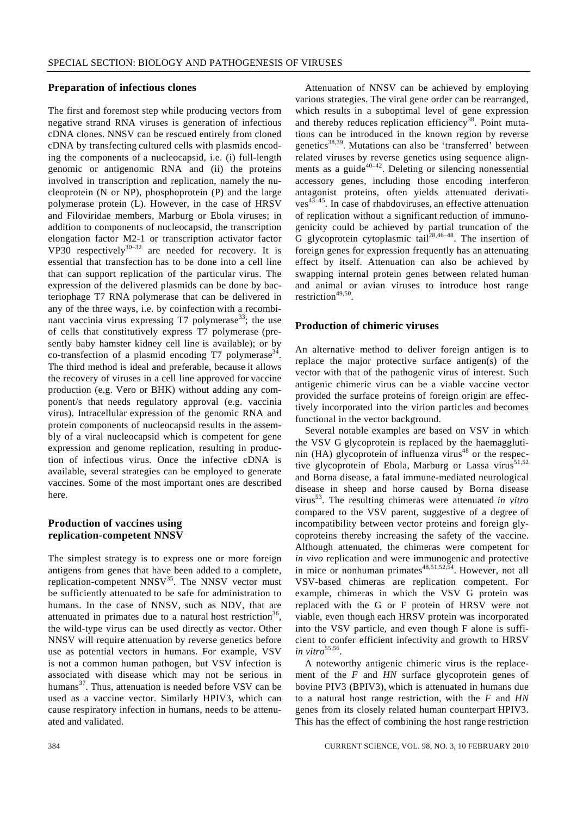#### **Preparation of infectious clones**

The first and foremost step while producing vectors from negative strand RNA viruses is generation of infectious cDNA clones. NNSV can be rescued entirely from cloned cDNA by transfecting cultured cells with plasmids encoding the components of a nucleocapsid, i.e. (i) full-length genomic or antigenomic RNA and (ii) the proteins involved in transcription and replication, namely the nucleoprotein (N or NP), phosphoprotein (P) and the large polymerase protein (L). However, in the case of HRSV and Filoviridae members, Marburg or Ebola viruses; in addition to components of nucleocapsid, the transcription elongation factor M2-1 or transcription activator factor VP30 respectively $30-32$  are needed for recovery. It is essential that transfection has to be done into a cell line that can support replication of the particular virus. The expression of the delivered plasmids can be done by bacteriophage T7 RNA polymerase that can be delivered in any of the three ways, i.e. by coinfection with a recombinant vaccinia virus expressing  $T7$  polymerase<sup>33</sup>; the use of cells that constitutively express T7 polymerase (presently baby hamster kidney cell line is available); or by co-transfection of a plasmid encoding  $T7$  polymerase<sup>34</sup>. The third method is ideal and preferable, because it allows the recovery of viruses in a cell line approved for vaccine production (e.g. Vero or BHK) without adding any component/s that needs regulatory approval (e.g. vaccinia virus). Intracellular expression of the genomic RNA and protein components of nucleocapsid results in the assembly of a viral nucleocapsid which is competent for gene expression and genome replication, resulting in production of infectious virus. Once the infective cDNA is available, several strategies can be employed to generate vaccines. Some of the most important ones are described here.

# **Production of vaccines using replication-competent NNSV**

The simplest strategy is to express one or more foreign antigens from genes that have been added to a complete, replication-competent  $NNSV<sup>35</sup>$ . The NNSV vector must be sufficiently attenuated to be safe for administration to humans. In the case of NNSV, such as NDV, that are attenuated in primates due to a natural host restriction<sup>36</sup>, the wild-type virus can be used directly as vector. Other NNSV will require attenuation by reverse genetics before use as potential vectors in humans. For example, VSV is not a common human pathogen, but VSV infection is associated with disease which may not be serious in humans<sup>37</sup>. Thus, attenuation is needed before VSV can be used as a vaccine vector. Similarly HPIV3, which can cause respiratory infection in humans, needs to be attenuated and validated.

 Attenuation of NNSV can be achieved by employing various strategies. The viral gene order can be rearranged, which results in a suboptimal level of gene expression and thereby reduces replication efficiency<sup>38</sup>. Point mutations can be introduced in the known region by reverse genetics<sup>38,39</sup>. Mutations can also be 'transferred' between related viruses by reverse genetics using sequence alignments as a guide<sup>40–42</sup>. Deleting or silencing nonessential accessory genes, including those encoding interferon antagonist proteins, often yields attenuated derivati $ves^{43-45}$ . In case of rhabdoviruses, an effective attenuation of replication without a significant reduction of immunogenicity could be achieved by partial truncation of the G glycoprotein cytoplasmic tail<sup>28,46–48</sup>. The insertion of foreign genes for expression frequently has an attenuating effect by itself. Attenuation can also be achieved by swapping internal protein genes between related human and animal or avian viruses to introduce host range restriction<sup>49,50</sup>.

#### **Production of chimeric viruses**

An alternative method to deliver foreign antigen is to replace the major protective surface antigen(s) of the vector with that of the pathogenic virus of interest. Such antigenic chimeric virus can be a viable vaccine vector provided the surface proteins of foreign origin are effectively incorporated into the virion particles and becomes functional in the vector background.

 Several notable examples are based on VSV in which the VSV G glycoprotein is replaced by the haemagglutinin (HA) glycoprotein of influenza virus<sup>48</sup> or the respective glycoprotein of Ebola, Marburg or Lassa virus<sup>51,52</sup> and Borna disease, a fatal immune-mediated neurological disease in sheep and horse caused by Borna disease virus53. The resulting chimeras were attenuated *in vitro* compared to the VSV parent, suggestive of a degree of incompatibility between vector proteins and foreign glycoproteins thereby increasing the safety of the vaccine. Although attenuated, the chimeras were competent for *in vivo* replication and were immunogenic and protective in mice or nonhuman primates $48,51,52,54$ . However, not all VSV-based chimeras are replication competent. For example, chimeras in which the VSV G protein was replaced with the G or F protein of HRSV were not viable, even though each HRSV protein was incorporated into the VSV particle, and even though F alone is sufficient to confer efficient infectivity and growth to HRSV *in vitro*<sup>55,56</sup>.

 A noteworthy antigenic chimeric virus is the replacement of the *F* and *HN* surface glycoprotein genes of bovine PIV3 (BPIV3), which is attenuated in humans due to a natural host range restriction, with the *F* and *HN* genes from its closely related human counterpart HPIV3. This has the effect of combining the host range restriction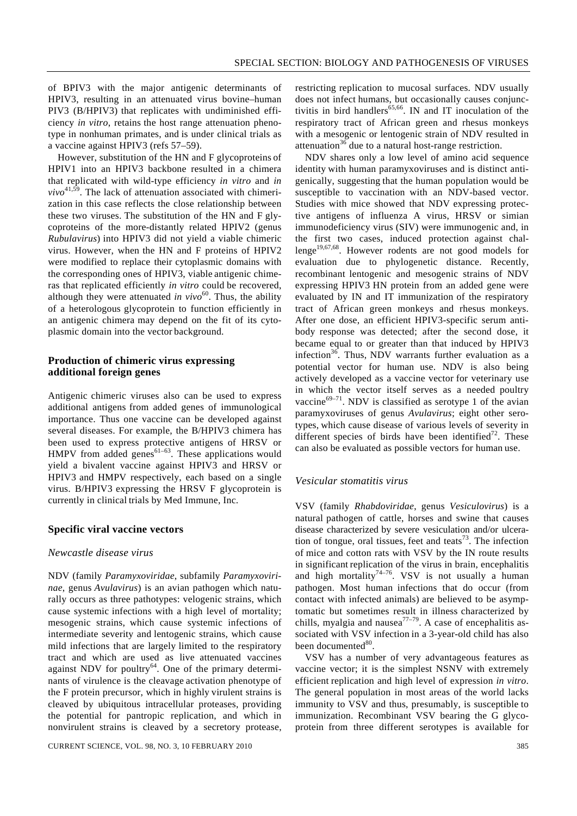of BPIV3 with the major antigenic determinants of HPIV3, resulting in an attenuated virus bovine–human PIV3 (B/HPIV3) that replicates with undiminished efficiency *in vitro*, retains the host range attenuation phenotype in nonhuman primates, and is under clinical trials as a vaccine against HPIV3 (refs 57–59).

 However, substitution of the HN and F glycoproteins of HPIV1 into an HPIV3 backbone resulted in a chimera that replicated with wild-type efficiency *in vitro* and *in*  $vivo^{41,59}$ . The lack of attenuation associated with chimerization in this case reflects the close relationship between these two viruses. The substitution of the HN and F glycoproteins of the more-distantly related HPIV2 (genus *Rubulavirus*) into HPIV3 did not yield a viable chimeric virus. However, when the HN and F proteins of HPIV2 were modified to replace their cytoplasmic domains with the corresponding ones of HPIV3, viable antigenic chimeras that replicated efficiently *in vitro* could be recovered, although they were attenuated *in vivo*<sup>60</sup>. Thus, the ability of a heterologous glycoprotein to function efficiently in an antigenic chimera may depend on the fit of its cytoplasmic domain into the vector background.

# **Production of chimeric virus expressing additional foreign genes**

Antigenic chimeric viruses also can be used to express additional antigens from added genes of immunological importance. Thus one vaccine can be developed against several diseases. For example, the B/HPIV3 chimera has been used to express protective antigens of HRSV or HMPV from added genes<sup>61–63</sup>. These applications would yield a bivalent vaccine against HPIV3 and HRSV or HPIV3 and HMPV respectively, each based on a single virus. B/HPIV3 expressing the HRSV F glycoprotein is currently in clinical trials by Med Immune, Inc.

#### **Specific viral vaccine vectors**

# *Newcastle disease virus*

NDV (family *Paramyxoviridae*, subfamily *Paramyxovirinae*, genus *Avulavirus*) is an avian pathogen which naturally occurs as three pathotypes: velogenic strains, which cause systemic infections with a high level of mortality; mesogenic strains, which cause systemic infections of intermediate severity and lentogenic strains, which cause mild infections that are largely limited to the respiratory tract and which are used as live attenuated vaccines against NDV for poultry $64$ . One of the primary determinants of virulence is the cleavage activation phenotype of the F protein precursor, which in highly virulent strains is cleaved by ubiquitous intracellular proteases, providing the potential for pantropic replication, and which in nonvirulent strains is cleaved by a secretory protease, restricting replication to mucosal surfaces. NDV usually does not infect humans, but occasionally causes conjunctivitis in bird handlers<sup>65,66</sup>. IN and IT inoculation of the respiratory tract of African green and rhesus monkeys with a mesogenic or lentogenic strain of NDV resulted in attenuation<sup>36</sup> due to a natural host-range restriction.

 NDV shares only a low level of amino acid sequence identity with human paramyxoviruses and is distinct antigenically, suggesting that the human population would be susceptible to vaccination with an NDV-based vector. Studies with mice showed that NDV expressing protective antigens of influenza A virus, HRSV or simian immunodeficiency virus (SIV) were immunogenic and, in the first two cases, induced protection against chal $l$ enge<sup>19,67,68</sup>. However rodents are not good models for evaluation due to phylogenetic distance. Recently, recombinant lentogenic and mesogenic strains of NDV expressing HPIV3 HN protein from an added gene were evaluated by IN and IT immunization of the respiratory tract of African green monkeys and rhesus monkeys. After one dose, an efficient HPIV3-specific serum antibody response was detected; after the second dose, it became equal to or greater than that induced by HPIV3 infection $36$ . Thus, NDV warrants further evaluation as a potential vector for human use. NDV is also being actively developed as a vaccine vector for veterinary use in which the vector itself serves as a needed poultry vaccine $69-71$ . NDV is classified as serotype 1 of the avian paramyxoviruses of genus *Avulavirus*; eight other serotypes, which cause disease of various levels of severity in different species of birds have been identified<sup>72</sup>. These can also be evaluated as possible vectors for human use.

#### *Vesicular stomatitis virus*

VSV (family *Rhabdoviridae*, genus *Vesiculovirus*) is a natural pathogen of cattle, horses and swine that causes disease characterized by severe vesiculation and/or ulceration of tongue, oral tissues, feet and teats<sup> $73$ </sup>. The infection of mice and cotton rats with VSV by the IN route results in significant replication of the virus in brain, encephalitis and high mortality<sup>74–76</sup>. VSV is not usually a human pathogen. Most human infections that do occur (from contact with infected animals) are believed to be asymptomatic but sometimes result in illness characterized by chills, myalgia and nausea<sup>77-79</sup>. A case of encephalitis associated with VSV infection in a 3-year-old child has also been documented<sup>80</sup>.

 VSV has a number of very advantageous features as vaccine vector; it is the simplest NSNV with extremely efficient replication and high level of expression *in vitro*. The general population in most areas of the world lacks immunity to VSV and thus, presumably, is susceptible to immunization. Recombinant VSV bearing the G glycoprotein from three different serotypes is available for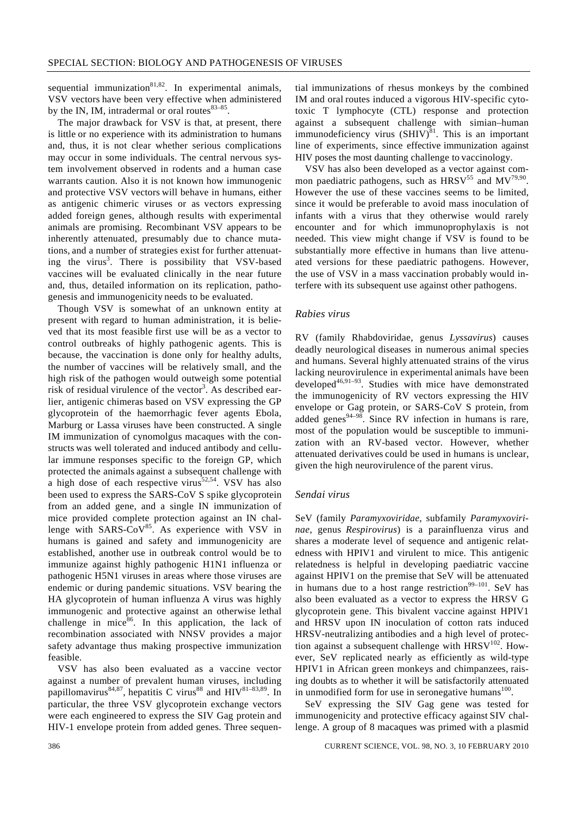sequential immunization $81,82$ . In experimental animals, VSV vectors have been very effective when administered by the IN, IM, intradermal or oral routes $83-85$ .

 The major drawback for VSV is that, at present, there is little or no experience with its administration to humans and, thus, it is not clear whether serious complications may occur in some individuals. The central nervous system involvement observed in rodents and a human case warrants caution. Also it is not known how immunogenic and protective VSV vectors will behave in humans, either as antigenic chimeric viruses or as vectors expressing added foreign genes, although results with experimental animals are promising. Recombinant VSV appears to be inherently attenuated, presumably due to chance mutations, and a number of strategies exist for further attenuating the virus<sup>3</sup>. There is possibility that VSV-based vaccines will be evaluated clinically in the near future and, thus, detailed information on its replication, pathogenesis and immunogenicity needs to be evaluated.

 Though VSV is somewhat of an unknown entity at present with regard to human administration, it is believed that its most feasible first use will be as a vector to control outbreaks of highly pathogenic agents. This is because, the vaccination is done only for healthy adults, the number of vaccines will be relatively small, and the high risk of the pathogen would outweigh some potential risk of residual virulence of the vector<sup>3</sup>. As described earlier, antigenic chimeras based on VSV expressing the GP glycoprotein of the haemorrhagic fever agents Ebola, Marburg or Lassa viruses have been constructed. A single IM immunization of cynomolgus macaques with the constructs was well tolerated and induced antibody and cellular immune responses specific to the foreign GP, which protected the animals against a subsequent challenge with a high dose of each respective virus<sup>52,54</sup>. VSV has also been used to express the SARS-CoV S spike glycoprotein from an added gene, and a single IN immunization of mice provided complete protection against an IN challenge with SARS- $CoV^{85}$ . As experience with VSV in humans is gained and safety and immunogenicity are established, another use in outbreak control would be to immunize against highly pathogenic H1N1 influenza or pathogenic H5N1 viruses in areas where those viruses are endemic or during pandemic situations. VSV bearing the HA glycoprotein of human influenza A virus was highly immunogenic and protective against an otherwise lethal challenge in mice $86$ . In this application, the lack of recombination associated with NNSV provides a major safety advantage thus making prospective immunization feasible.

 VSV has also been evaluated as a vaccine vector against a number of prevalent human viruses, including papillomavirus<sup>84,87</sup>, hepatitis C virus<sup>88</sup> and  $HIV<sup>81–83,89</sup>$ . In particular, the three VSV glycoprotein exchange vectors were each engineered to express the SIV Gag protein and HIV-1 envelope protein from added genes. Three sequential immunizations of rhesus monkeys by the combined IM and oral routes induced a vigorous HIV-specific cytotoxic T lymphocyte (CTL) response and protection against a subsequent challenge with simian–human immunodeficiency virus  $(SHIV)^{81}$ . This is an important line of experiments, since effective immunization against HIV poses the most daunting challenge to vaccinology.

 VSV has also been developed as a vector against common paediatric pathogens, such as  $HRSV<sup>55</sup>$  and  $MV<sup>79,90</sup>$ . However the use of these vaccines seems to be limited, since it would be preferable to avoid mass inoculation of infants with a virus that they otherwise would rarely encounter and for which immunoprophylaxis is not needed. This view might change if VSV is found to be substantially more effective in humans than live attenuated versions for these paediatric pathogens. However, the use of VSV in a mass vaccination probably would interfere with its subsequent use against other pathogens.

#### *Rabies virus*

RV (family Rhabdoviridae, genus *Lyssavirus*) causes deadly neurological diseases in numerous animal species and humans. Several highly attenuated strains of the virus lacking neurovirulence in experimental animals have been developed $46,91-93$ . Studies with mice have demonstrated the immunogenicity of RV vectors expressing the HIV envelope or Gag protein, or SARS-CoV S protein, from added genes<sup>94–98</sup>. Since RV infection in humans is rare, most of the population would be susceptible to immunization with an RV-based vector. However, whether attenuated derivatives could be used in humans is unclear, given the high neurovirulence of the parent virus.

#### *Sendai virus*

SeV (family *Paramyxoviridae*, subfamily *Paramyxovirinae*, genus *Respirovirus*) is a parainfluenza virus and shares a moderate level of sequence and antigenic relatedness with HPIV1 and virulent to mice. This antigenic relatedness is helpful in developing paediatric vaccine against HPIV1 on the premise that SeV will be attenuated in humans due to a host range restriction $99-101$ . SeV has also been evaluated as a vector to express the HRSV G glycoprotein gene. This bivalent vaccine against HPIV1 and HRSV upon IN inoculation of cotton rats induced HRSV-neutralizing antibodies and a high level of protection against a subsequent challenge with  $HRSV^{102}$ . However, SeV replicated nearly as efficiently as wild-type HPIV1 in African green monkeys and chimpanzees, raising doubts as to whether it will be satisfactorily attenuated in unmodified form for use in seronegative humans $100$ .

 SeV expressing the SIV Gag gene was tested for immunogenicity and protective efficacy against SIV challenge. A group of 8 macaques was primed with a plasmid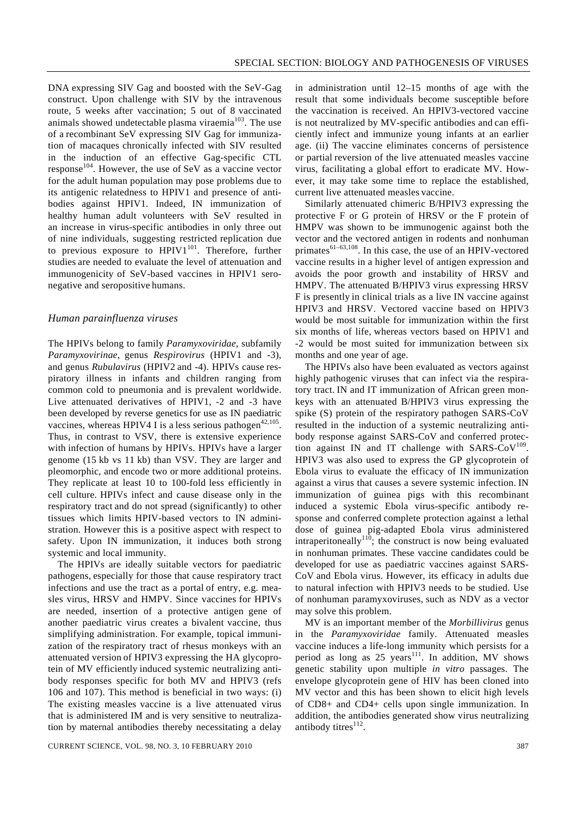DNA expressing SIV Gag and boosted with the SeV-Gag construct. Upon challenge with SIV by the intravenous route, 5 weeks after vaccination; 5 out of 8 vaccinated animals showed undetectable plasma viraemia $103$ . The use of a recombinant SeV expressing SIV Gag for immunization of macaques chronically infected with SIV resulted in the induction of an effective Gag-specific CTL response<sup>104</sup>. However, the use of SeV as a vaccine vector for the adult human population may pose problems due to its antigenic relatedness to HPIV1 and presence of antibodies against HPIV1. Indeed, IN immunization of healthy human adult volunteers with SeV resulted in an increase in virus-specific antibodies in only three out of nine individuals, suggesting restricted replication due to previous exposure to  $HPIV1^{101}$ . Therefore, further studies are needed to evaluate the level of attenuation and immunogenicity of SeV-based vaccines in HPIV1 seronegative and seropositive humans.

#### *Human parainfluenza viruses*

The HPIVs belong to family *Paramyxoviridae*, subfamily *Paramyxovirinae*, genus *Respirovirus* (HPIV1 and -3), and genus *Rubulavirus* (HPIV2 and -4). HPIVs cause respiratory illness in infants and children ranging from common cold to pneumonia and is prevalent worldwide. Live attenuated derivatives of HPIV1, -2 and -3 have been developed by reverse genetics for use as IN paediatric vaccines, whereas HPIV4 I is a less serious pathogen<sup>42,105</sup>. Thus, in contrast to VSV, there is extensive experience with infection of humans by HPIVs. HPIVs have a larger genome (15 kb vs 11 kb) than VSV. They are larger and pleomorphic, and encode two or more additional proteins. They replicate at least 10 to 100-fold less efficiently in cell culture. HPIVs infect and cause disease only in the respiratory tract and do not spread (significantly) to other tissues which limits HPIV-based vectors to IN administration. However this is a positive aspect with respect to safety. Upon IN immunization, it induces both strong systemic and local immunity.

 The HPIVs are ideally suitable vectors for paediatric pathogens, especially for those that cause respiratory tract infections and use the tract as a portal of entry, e.g. measles virus, HRSV and HMPV. Since vaccines for HPIVs are needed, insertion of a protective antigen gene of another paediatric virus creates a bivalent vaccine, thus simplifying administration. For example, topical immunization of the respiratory tract of rhesus monkeys with an attenuated version of HPIV3 expressing the HA glycoprotein of MV efficiently induced systemic neutralizing antibody responses specific for both MV and HPIV3 (refs 106 and 107). This method is beneficial in two ways: (i) The existing measles vaccine is a live attenuated virus that is administered IM and is very sensitive to neutralization by maternal antibodies thereby necessitating a delay in administration until 12–15 months of age with the result that some individuals become susceptible before the vaccination is received. An HPIV3-vectored vaccine is not neutralized by MV-specific antibodies and can efficiently infect and immunize young infants at an earlier age. (ii) The vaccine eliminates concerns of persistence or partial reversion of the live attenuated measles vaccine virus, facilitating a global effort to eradicate MV. However, it may take some time to replace the established, current live attenuated measles vaccine.

 Similarly attenuated chimeric B/HPIV3 expressing the protective F or G protein of HRSV or the F protein of HMPV was shown to be immunogenic against both the vector and the vectored antigen in rodents and nonhuman primates $^{61-63,108}$ . In this case, the use of an HPIV-vectored vaccine results in a higher level of antigen expression and avoids the poor growth and instability of HRSV and HMPV. The attenuated B/HPIV3 virus expressing HRSV F is presently in clinical trials as a live IN vaccine against HPIV3 and HRSV. Vectored vaccine based on HPIV3 would be most suitable for immunization within the first six months of life, whereas vectors based on HPIV1 and -2 would be most suited for immunization between six months and one year of age.

 The HPIVs also have been evaluated as vectors against highly pathogenic viruses that can infect via the respiratory tract. IN and IT immunization of African green monkeys with an attenuated B/HPIV3 virus expressing the spike (S) protein of the respiratory pathogen SARS-CoV resulted in the induction of a systemic neutralizing antibody response against SARS-CoV and conferred protection against IN and IT challenge with SARS-CoV $109$ . HPIV3 was also used to express the GP glycoprotein of Ebola virus to evaluate the efficacy of IN immunization against a virus that causes a severe systemic infection. IN immunization of guinea pigs with this recombinant induced a systemic Ebola virus-specific antibody response and conferred complete protection against a lethal dose of guinea pig-adapted Ebola virus administered intraperitoneally<sup>110</sup>; the construct is now being evaluated in nonhuman primates. These vaccine candidates could be developed for use as paediatric vaccines against SARS-CoV and Ebola virus. However, its efficacy in adults due to natural infection with HPIV3 needs to be studied. Use of nonhuman paramyxoviruses, such as NDV as a vector may solve this problem.

 MV is an important member of the *Morbillivirus* genus in the *Paramyxoviridae* family. Attenuated measles vaccine induces a life-long immunity which persists for a period as long as  $25$  years<sup>111</sup>. In addition, MV shows genetic stability upon multiple *in vitro* passages. The envelope glycoprotein gene of HIV has been cloned into MV vector and this has been shown to elicit high levels of CD8+ and CD4+ cells upon single immunization. In addition, the antibodies generated show virus neutralizing antibody titres<sup>112</sup>.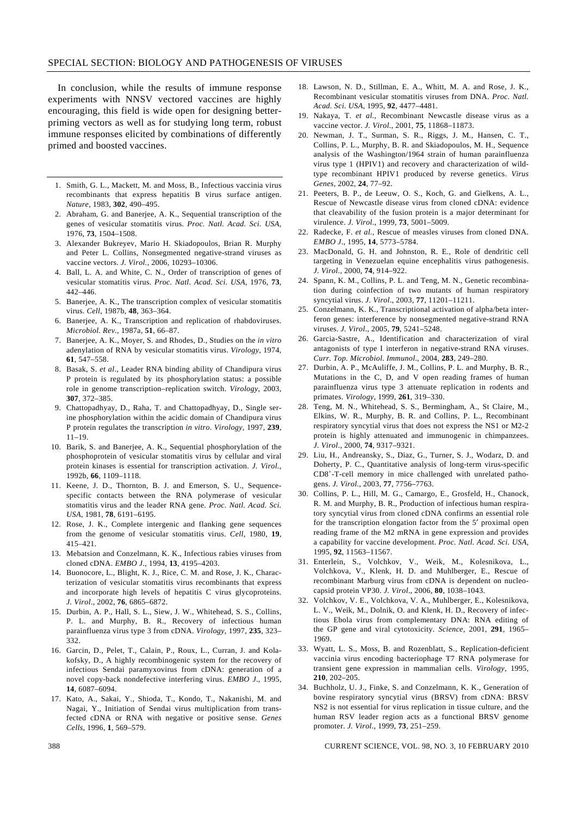In conclusion, while the results of immune response experiments with NNSV vectored vaccines are highly encouraging, this field is wide open for designing betterpriming vectors as well as for studying long term, robust immune responses elicited by combinations of differently primed and boosted vaccines.

- 1. Smith, G. L., Mackett, M. and Moss, B., Infectious vaccinia virus recombinants that express hepatitis B virus surface antigen. *Nature*, 1983, **302**, 490–495.
- 2. Abraham, G. and Banerjee, A. K., Sequential transcription of the genes of vesicular stomatitis virus. *Proc. Natl. Acad. Sci. USA*, 1976, **73**, 1504–1508.
- 3. Alexander Bukreyev, Mario H. Skiadopoulos, Brian R. Murphy and Peter L. Collins, Nonsegmented negative-strand viruses as vaccine vectors. *J. Virol.*, 2006, 10293–10306.
- 4. Ball, L. A. and White, C. N., Order of transcription of genes of vesicular stomatitis virus. *Proc. Natl. Acad. Sci. USA*, 1976, **73**, 442–446.
- 5. Banerjee, A. K., The transcription complex of vesicular stomatitis virus. *Cell*, 1987b, **48**, 363–364.
- 6. Banerjee, A. K., Transcription and replication of rhabdoviruses. *Microbiol. Rev.*, 1987a, **51**, 66–87.
- 7. Banerjee, A. K., Moyer, S. and Rhodes, D., Studies on the *in vitro* adenylation of RNA by vesicular stomatitis virus. *Virology*, 1974, **61**, 547–558.
- 8. Basak, S. *et al*., Leader RNA binding ability of Chandipura virus P protein is regulated by its phosphorylation status: a possible role in genome transcription–replication switch. *Virology*, 2003, **307**, 372–385.
- 9. Chattopadhyay, D., Raha, T. and Chattopadhyay, D., Single serine phosphorylation within the acidic domain of Chandipura virus P protein regulates the transcription *in vitro*. *Virology*, 1997, **239**, 11–19.
- 10. Barik, S. and Banerjee, A. K., Sequential phosphorylation of the phosphoprotein of vesicular stomatitis virus by cellular and viral protein kinases is essential for transcription activation. *J. Virol.*, 1992b, **66**, 1109–1118.
- 11. Keene, J. D., Thornton, B. J. and Emerson, S. U., Sequencespecific contacts between the RNA polymerase of vesicular stomatitis virus and the leader RNA gene. *Proc. Natl. Acad. Sci. USA*, 1981, **78**, 6191–6195.
- 12. Rose, J. K., Complete intergenic and flanking gene sequences from the genome of vesicular stomatitis virus. *Cell*, 1980, **19**, 415–421.
- 13. Mebatsion and Conzelmann, K. K., Infectious rabies viruses from cloned cDNA. *EMBO J*., 1994, **13**, 4195–4203.
- 14. Buonocore, L., Blight, K. J., Rice, C. M. and Rose, J. K., Characterization of vesicular stomatitis virus recombinants that express and incorporate high levels of hepatitis C virus glycoproteins. *J. Virol*., 2002, **76**, 6865–6872.
- 15. Durbin, A. P., Hall, S. L., Siew, J. W., Whitehead, S. S., Collins, P. L. and Murphy, B. R., Recovery of infectious human parainfluenza virus type 3 from cDNA. *Virology*, 1997, **235**, 323– 332.
- 16. Garcin, D., Pelet, T., Calain, P., Roux, L., Curran, J. and Kolakofsky, D., A highly recombinogenic system for the recovery of infectious Sendai paramyxovirus from cDNA: generation of a novel copy-back nondefective interfering virus. *EMBO J*., 1995, **14**, 6087–6094.
- 17. Kato, A., Sakai, Y., Shioda, T., Kondo, T., Nakanishi, M. and Nagai, Y., Initiation of Sendai virus multiplication from transfected cDNA or RNA with negative or positive sense. *Genes Cells*, 1996, **1**, 569–579.
- 18. Lawson, N. D., Stillman, E. A., Whitt, M. A. and Rose, J. K., Recombinant vesicular stomatitis viruses from DNA. *Proc. Natl. Acad. Sci. USA*, 1995, **92**, 4477–4481.
- 19. Nakaya, T. *et al.*, Recombinant Newcastle disease virus as a vaccine vector. *J. Virol*., 2001, **75**, 11868–11873.
- 20. Newman, J. T., Surman, S. R., Riggs, J. M., Hansen, C. T., Collins, P. L., Murphy, B. R. and Skiadopoulos, M. H., Sequence analysis of the Washington/1964 strain of human parainfluenza virus type 1 (HPIV1) and recovery and characterization of wildtype recombinant HPIV1 produced by reverse genetics. *Virus Genes*, 2002, **24**, 77–92.
- 21. Peeters, B. P., de Leeuw, O. S., Koch, G. and Gielkens, A. L., Rescue of Newcastle disease virus from cloned cDNA: evidence that cleavability of the fusion protein is a major determinant for virulence. *J. Virol*., 1999, **73**, 5001–5009.
- 22. Radecke, F. *et al.*, Rescue of measles viruses from cloned DNA. *EMBO J*., 1995, **14**, 5773–5784.
- 23. MacDonald, G. H. and Johnston, R. E., Role of dendritic cell targeting in Venezuelan equine encephalitis virus pathogenesis. *J. Virol*., 2000, **74**, 914–922.
- 24. Spann, K. M., Collins, P. L. and Teng, M. N., Genetic recombination during coinfection of two mutants of human respiratory syncytial virus. *J. Virol*., 2003, **77**, 11201–11211.
- 25. Conzelmann, K. K., Transcriptional activation of alpha/beta interferon genes: interference by nonsegmented negative-strand RNA viruses. *J. Virol*., 2005, **79**, 5241–5248.
- 26. Garcia-Sastre, A., Identification and characterization of viral antagonists of type I interferon in negative-strand RNA viruses. *Curr. Top. Microbiol. Immunol*., 2004, **283**, 249–280.
- 27. Durbin, A. P., McAuliffe, J. M., Collins, P. L. and Murphy, B. R., Mutations in the C, D, and V open reading frames of human parainfluenza virus type 3 attenuate replication in rodents and primates. *Virology*, 1999, **261**, 319–330.
- 28. Teng, M. N., Whitehead, S. S., Bermingham, A., St Claire, M., Elkins, W. R., Murphy, B. R. and Collins, P. L., Recombinant respiratory syncytial virus that does not express the NS1 or M2-2 protein is highly attenuated and immunogenic in chimpanzees. *J. Virol*., 2000, **74**, 9317–9321.
- 29. Liu, H., Andreansky, S., Diaz, G., Turner, S. J., Wodarz, D. and Doherty, P. C., Quantitative analysis of long-term virus-specific CD8<sup>+</sup> -T-cell memory in mice challenged with unrelated pathogens. *J. Virol.*, 2003, **77**, 7756–7763.
- 30. Collins, P. L., Hill, M. G., Camargo, E., Grosfeld, H., Chanock, R. M. and Murphy, B. R., Production of infectious human respiratory syncytial virus from cloned cDNA confirms an essential role for the transcription elongation factor from the 5′ proximal open reading frame of the M2 mRNA in gene expression and provides a capability for vaccine development. *Proc. Natl. Acad. Sci. USA*, 1995, **92**, 11563–11567.
- 31. Enterlein, S., Volchkov, V., Weik, M., Kolesnikova, L., Volchkova, V., Klenk, H. D. and Muhlberger, E., Rescue of recombinant Marburg virus from cDNA is dependent on nucleocapsid protein VP30. *J. Virol*., 2006, **80**, 1038–1043.
- 32. Volchkov, V. E., Volchkova, V. A., Muhlberger, E., Kolesnikova, L. V., Weik, M., Dolnik, O. and Klenk, H. D., Recovery of infectious Ebola virus from complementary DNA: RNA editing of the GP gene and viral cytotoxicity. *Science*, 2001, **291**, 1965– 1969.
- 33. Wyatt, L. S., Moss, B. and Rozenblatt, S., Replication-deficient vaccinia virus encoding bacteriophage T7 RNA polymerase for transient gene expression in mammalian cells. *Virology*, 1995, **210**, 202–205.
- 34. Buchholz, U. J., Finke, S. and Conzelmann, K. K., Generation of bovine respiratory syncytial virus (BRSV) from cDNA: BRSV NS2 is not essential for virus replication in tissue culture, and the human RSV leader region acts as a functional BRSV genome promoter. *J. Virol.*, 1999, **73**, 251–259.

388 CURRENT SCIENCE, VOL. 98, NO. 3, 10 FEBRUARY 2010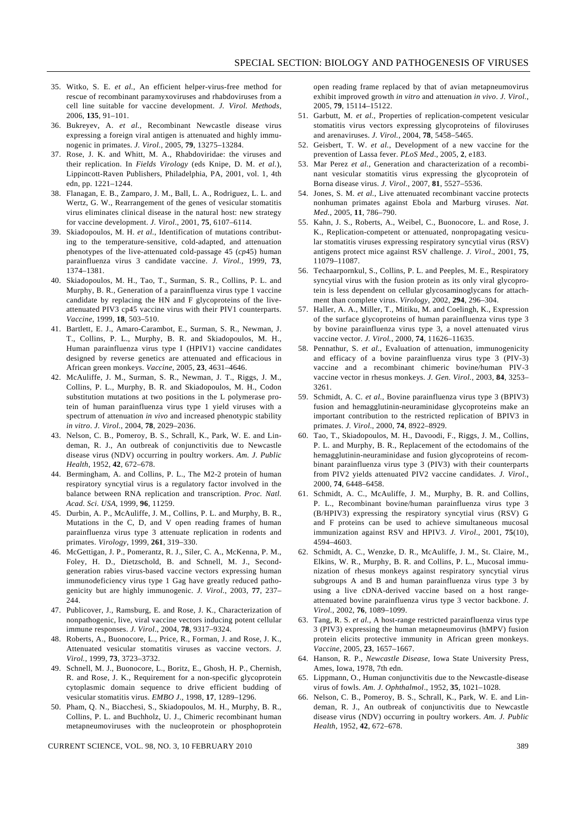- 35. Witko, S. E. *et al.*, An efficient helper-virus-free method for rescue of recombinant paramyxoviruses and rhabdoviruses from a cell line suitable for vaccine development. *J. Virol. Methods*, 2006, **135**, 91–101.
- 36. Bukreyev, A. *et al.*, Recombinant Newcastle disease virus expressing a foreign viral antigen is attenuated and highly immunogenic in primates. *J. Virol.*, 2005, **79**, 13275–13284.
- 37. Rose, J. K. and Whitt, M. A., Rhabdoviridae: the viruses and their replication. In *Fields Virology* (eds Knipe, D. M. *et al.*), Lippincott-Raven Publishers, Philadelphia, PA, 2001, vol. 1, 4th edn, pp. 1221–1244.
- 38. Flanagan, E. B., Zamparo, J. M., Ball, L. A., Rodriguez, L. L. and Wertz, G. W., Rearrangement of the genes of vesicular stomatitis virus eliminates clinical disease in the natural host: new strategy for vaccine development. *J. Virol*., 2001, **75**, 6107–6114.
- 39. Skiadopoulos, M. H. *et al.*, Identification of mutations contributing to the temperature-sensitive, cold-adapted, and attenuation phenotypes of the live-attenuated cold-passage 45 (*cp*45) human parainfluenza virus 3 candidate vaccine. *J. Virol.*, 1999, **73**, 1374–1381.
- 40. Skiadopoulos, M. H., Tao, T., Surman, S. R., Collins, P. L. and Murphy, B. R., Generation of a parainfluenza virus type 1 vaccine candidate by replacing the HN and F glycoproteins of the liveattenuated PIV3 cp45 vaccine virus with their PIV1 counterparts. *Vaccine*, 1999, **18**, 503–510.
- 41. Bartlett, E. J., Amaro-Carambot, E., Surman, S. R., Newman, J. T., Collins, P. L., Murphy, B. R. and Skiadopoulos, M. H., Human parainfluenza virus type I (HPIV1) vaccine candidates designed by reverse genetics are attenuated and efficacious in African green monkeys. *Vaccine*, 2005, **23**, 4631–4646.
- 42. McAuliffe, J. M., Surman, S. R., Newman, J. T., Riggs, J. M., Collins, P. L., Murphy, B. R. and Skiadopoulos, M. H., Codon substitution mutations at two positions in the L polymerase protein of human parainfluenza virus type 1 yield viruses with a spectrum of attenuation *in vivo* and increased phenotypic stability *in vitro*. *J. Virol.*, 2004, **78**, 2029–2036.
- 43. Nelson, C. B., Pomeroy, B. S., Schrall, K., Park, W. E. and Lindeman, R. J., An outbreak of conjunctivitis due to Newcastle disease virus (NDV) occurring in poultry workers. *Am. J. Public Health*, 1952, **42**, 672–678.
- 44. Bermingham, A. and Collins, P. L., The M2-2 protein of human respiratory syncytial virus is a regulatory factor involved in the balance between RNA replication and transcription. *Proc. Natl. Acad. Sci. USA*, 1999, **96**, 11259.
- 45. Durbin, A. P., McAuliffe, J. M., Collins, P. L. and Murphy, B. R., Mutations in the C, D, and V open reading frames of human parainfluenza virus type 3 attenuate replication in rodents and primates. *Virology*, 1999, **261**, 319–330.
- 46. McGettigan, J. P., Pomerantz, R. J., Siler, C. A., McKenna, P. M., Foley, H. D., Dietzschold, B. and Schnell, M. J., Secondgeneration rabies virus-based vaccine vectors expressing human immunodeficiency virus type 1 Gag have greatly reduced pathogenicity but are highly immunogenic. *J. Virol*., 2003, **77**, 237– 244.
- 47. Publicover, J., Ramsburg, E. and Rose, J. K., Characterization of nonpathogenic, live, viral vaccine vectors inducing potent cellular immune responses. *J. Virol*., 2004, **78**, 9317–9324.
- 48. Roberts, A., Buonocore, L., Price, R., Forman, J. and Rose, J. K., Attenuated vesicular stomatitis viruses as vaccine vectors. *J. Virol.*, 1999, **73**, 3723–3732.
- 49. Schnell, M. J., Buonocore, L., Boritz, E., Ghosh, H. P., Chernish, R. and Rose, J. K., Requirement for a non-specific glycoprotein cytoplasmic domain sequence to drive efficient budding of vesicular stomatitis virus. *EMBO J*., 1998, **17**, 1289–1296.
- 50. Pham, Q. N., Biacchesi, S., Skiadopoulos, M. H., Murphy, B. R., Collins, P. L. and Buchholz, U. J., Chimeric recombinant human metapneumoviruses with the nucleoprotein or phosphoprotein

open reading frame replaced by that of avian metapneumovirus exhibit improved growth *in vitro* and attenuation *in vivo*. *J. Virol.*, 2005, **79**, 15114–15122.

- 51. Garbutt, M. *et al.*, Properties of replication-competent vesicular stomatitis virus vectors expressing glycoproteins of filoviruses and arenaviruses. *J. Virol.*, 2004, **78**, 5458–5465.
- 52. Geisbert, T. W. *et al.*, Development of a new vaccine for the prevention of Lassa fever. *PLoS Med*., 2005, **2**, e183.
- 53. Mar Perez *et al.*, Generation and characterization of a recombinant vesicular stomatitis virus expressing the glycoprotein of Borna disease virus. *J. Virol*., 2007, **81**, 5527–5536.
- 54. Jones, S. M. *et al.*, Live attenuated recombinant vaccine protects nonhuman primates against Ebola and Marburg viruses. *Nat. Med.*, 2005, **11**, 786–790.
- 55. Kahn, J. S., Roberts, A., Weibel, C., Buonocore, L. and Rose, J. K., Replication-competent or attenuated, nonpropagating vesicular stomatitis viruses expressing respiratory syncytial virus (RSV) antigens protect mice against RSV challenge. *J. Virol*., 2001, **75**, 11079–11087.
- 56. Techaarpornkul, S., Collins, P. L. and Peeples, M. E., Respiratory syncytial virus with the fusion protein as its only viral glycoprotein is less dependent on cellular glycosaminoglycans for attachment than complete virus. *Virology*, 2002, **294**, 296–304.
- 57. Haller, A. A., Miller, T., Mitiku, M. and Coelingh, K., Expression of the surface glycoproteins of human parainfluenza virus type 3 by bovine parainfluenza virus type 3, a novel attenuated virus vaccine vector. *J. Virol.*, 2000, **74**, 11626–11635.
- 58. Pennathur, S. *et al.*, Evaluation of attenuation, immunogenicity and efficacy of a bovine parainfluenza virus type 3 (PIV-3) vaccine and a recombinant chimeric bovine/human PIV-3 vaccine vector in rhesus monkeys. *J. Gen. Virol.*, 2003, **84**, 3253– 3261.
- 59. Schmidt, A. C. *et al.*, Bovine parainfluenza virus type 3 (BPIV3) fusion and hemagglutinin-neuraminidase glycoproteins make an important contribution to the restricted replication of BPIV3 in primates. *J. Virol*., 2000, **74**, 8922–8929.
- 60. Tao, T., Skiadopoulos, M. H., Davoodi, F., Riggs, J. M., Collins, P. L. and Murphy, B. R., Replacement of the ectodomains of the hemagglutinin-neuraminidase and fusion glycoproteins of recombinant parainfluenza virus type 3 (PIV3) with their counterparts from PIV2 yields attenuated PIV2 vaccine candidates. *J. Virol*., 2000, **74**, 6448–6458.
- 61. Schmidt, A. C., McAuliffe, J. M., Murphy, B. R. and Collins, P. L., Recombinant bovine/human parainfluenza virus type 3 (B/HPIV3) expressing the respiratory syncytial virus (RSV) G and F proteins can be used to achieve simultaneous mucosal immunization against RSV and HPIV3. *J. Virol*., 2001, **75**(10), 4594–4603.
- 62. Schmidt, A. C., Wenzke, D. R., McAuliffe, J. M., St. Claire, M., Elkins, W. R., Murphy, B. R. and Collins, P. L., Mucosal immunization of rhesus monkeys against respiratory syncytial virus subgroups A and B and human parainfluenza virus type 3 by using a live cDNA-derived vaccine based on a host rangeattenuated bovine parainfluenza virus type 3 vector backbone. *J. Virol.*, 2002, **76**, 1089–1099.
- 63. Tang, R. S. *et al.*, A host-range restricted parainfluenza virus type 3 (PIV3) expressing the human metapneumovirus (hMPV) fusion protein elicits protective immunity in African green monkeys. *Vaccine*, 2005, **23**, 1657–1667.
- 64. Hanson, R. P., *Newcastle Disease*, Iowa State University Press, Ames, Iowa, 1978, 7th edn.
- 65. Lippmann, O., Human conjunctivitis due to the Newcastle-disease virus of fowls. *Am. J. Ophthalmol*., 1952, **35**, 1021–1028.
- 66. Nelson, C. B., Pomeroy, B. S., Schrall, K., Park, W. E. and Lindeman, R. J., An outbreak of conjunctivitis due to Newcastle disease virus (NDV) occurring in poultry workers. *Am. J. Public Health*, 1952, **42**, 672–678.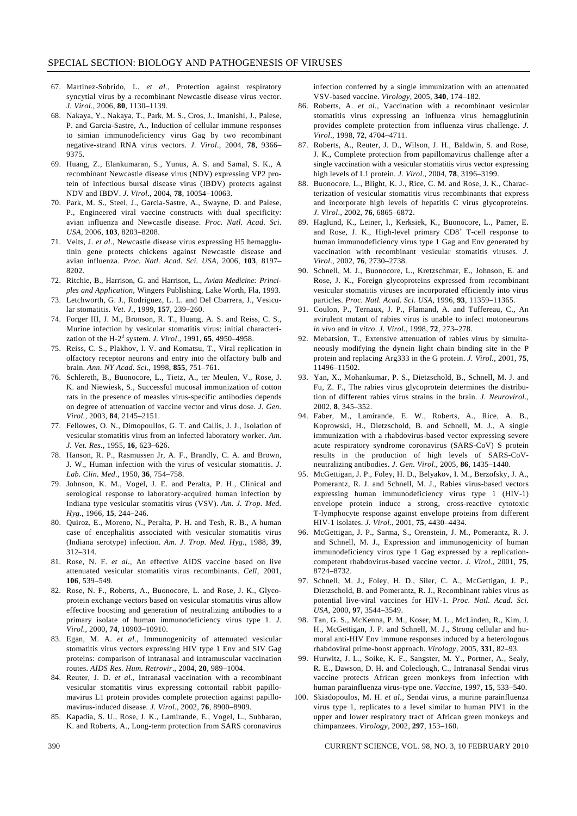- 67. Martinez-Sobrido, L. *et al.*, Protection against respiratory syncytial virus by a recombinant Newcastle disease virus vector. *J. Virol*., 2006, **80**, 1130–1139.
- 68. Nakaya, Y., Nakaya, T., Park, M. S., Cros, J., Imanishi, J., Palese, P. and Garcia-Sastre, A., Induction of cellular immune responses to simian immunodeficiency virus Gag by two recombinant negative-strand RNA virus vectors. *J. Virol*., 2004, **78**, 9366– 9375.
- 69. Huang, Z., Elankumaran, S., Yunus, A. S. and Samal, S. K., A recombinant Newcastle disease virus (NDV) expressing VP2 protein of infectious bursal disease virus (IBDV) protects against NDV and IBDV. *J. Virol*., 2004, **78**, 10054–10063.
- 70. Park, M. S., Steel, J., Garcia-Sastre, A., Swayne, D. and Palese, P., Engineered viral vaccine constructs with dual specificity: avian influenza and Newcastle disease. *Proc. Natl. Acad. Sci. USA*, 2006, **103**, 8203–8208.
- 71. Veits, J. *et al*., Newcastle disease virus expressing H5 hemagglutinin gene protects chickens against Newcastle disease and avian influenza. *Proc. Natl. Acad. Sci. USA*, 2006, **103**, 8197– 8202.
- 72. Ritchie, B., Harrison, G. and Harrison, L., *Avian Medicine: Principles and Application*, Wingers Publishing, Lake Worth, Fla, 1993.
- 73. Letchworth, G. J., Rodriguez, L. L. and Del Cbarrera, J., Vesicular stomatitis. *Vet. J.*, 1999, **157**, 239–260.
- 74. Forger III, J. M., Bronson, R. T., Huang, A. S. and Reiss, C. S., Murine infection by vesicular stomatitis virus: initial characterization of the H-2<sup>*d*</sup> system. *J. Virol.*, 1991, 65, 4950–4958.
- 75. Reiss, C. S., Plakhov, I. V. and Komatsu, T., Viral replication in olfactory receptor neurons and entry into the olfactory bulb and brain. *Ann. NY Acad. Sci*., 1998, **855**, 751–761.
- 76. Schlereth, B., Buonocore, L., Tietz, A., ter Meulen, V., Rose, J. K. and Niewiesk, S., Successful mucosal immunization of cotton rats in the presence of measles virus-specific antibodies depends on degree of attenuation of vaccine vector and virus dose. *J. Gen. Virol*., 2003, **84**, 2145–2151.
- 77. Fellowes, O. N., Dimopoullos, G. T. and Callis, J. J., Isolation of vesicular stomatitis virus from an infected laboratory worker. *Am. J. Vet. Res*., 1955, **16**, 623–626.
- 78. Hanson, R. P., Rasmussen Jr, A. F., Brandly, C. A. and Brown, J. W., Human infection with the virus of vesicular stomatitis. *J. Lab. Clin. Med*., 1950, **36**, 754–758.
- 79. Johnson, K. M., Vogel, J. E. and Peralta, P. H., Clinical and serological response to laboratory-acquired human infection by Indiana type vesicular stomatitis virus (VSV). *Am. J. Trop. Med. Hyg.*, 1966, **15**, 244–246.
- 80. Quiroz, E., Moreno, N., Peralta, P. H. and Tesh, R. B., A human case of encephalitis associated with vesicular stomatitis virus (Indiana serotype) infection. *Am. J. Trop. Med. Hyg.*, 1988, **39**, 312–314.
- 81. Rose, N. F. *et al.*, An effective AIDS vaccine based on live attenuated vesicular stomatitis virus recombinants. *Cell*, 2001, **106**, 539–549.
- 82. Rose, N. F., Roberts, A., Buonocore, L. and Rose, J. K., Glycoprotein exchange vectors based on vesicular stomatitis virus allow effective boosting and generation of neutralizing antibodies to a primary isolate of human immunodeficiency virus type 1. *J. Virol*., 2000, **74**, 10903–10910.
- 83. Egan, M. A. *et al.*, Immunogenicity of attenuated vesicular stomatitis virus vectors expressing HIV type 1 Env and SIV Gag proteins: comparison of intranasal and intramuscular vaccination routes. *AIDS Res. Hum. Retrovir*., 2004, **20**, 989–1004.
- 84. Reuter, J. D. *et al.*, Intranasal vaccination with a recombinant vesicular stomatitis virus expressing cottontail rabbit papillomavirus L1 protein provides complete protection against papillomavirus-induced disease. *J. Virol.*, 2002, **76**, 8900–8909.
- 85. Kapadia, S. U., Rose, J. K., Lamirande, E., Vogel, L., Subbarao, K. and Roberts, A., Long-term protection from SARS coronavirus

infection conferred by a single immunization with an attenuated VSV-based vaccine. *Virology*, 2005, **340**, 174–182.

- 86. Roberts, A. *et al.*, Vaccination with a recombinant vesicular stomatitis virus expressing an influenza virus hemagglutinin provides complete protection from influenza virus challenge. *J. Virol*., 1998, **72**, 4704–4711.
- 87. Roberts, A., Reuter, J. D., Wilson, J. H., Baldwin, S. and Rose, J. K., Complete protection from papillomavirus challenge after a single vaccination with a vesicular stomatitis virus vector expressing high levels of L1 protein. *J. Virol.*, 2004, **78**, 3196–3199.
- 88. Buonocore, L., Blight, K. J., Rice, C. M. and Rose, J. K., Characterization of vesicular stomatitis virus recombinants that express and incorporate high levels of hepatitis C virus glycoproteins. *J. Virol*., 2002, **76**, 6865–6872.
- 89. Haglund, K., Leiner, I., Kerksiek, K., Buonocore, L., Pamer, E. and Rose, J. K., High-level primary CD8<sup>+</sup> T-cell response to human immunodeficiency virus type 1 Gag and Env generated by vaccination with recombinant vesicular stomatitis viruses. *J. Virol*., 2002, **76**, 2730–2738.
- 90. Schnell, M. J., Buonocore, L., Kretzschmar, E., Johnson, E. and Rose, J. K., Foreign glycoproteins expressed from recombinant vesicular stomatitis viruses are incorporated efficiently into virus particles. *Proc. Natl. Acad. Sci. USA*, 1996, **93**, 11359–11365.
- 91. Coulon, P., Ternaux, J. P., Flamand, A. and Tuffereau, C., An avirulent mutant of rabies virus is unable to infect motoneurons *in vivo* and *in vitro*. *J. Virol.*, 1998, **72**, 273–278.
- 92. Mebatsion, T., Extensive attenuation of rabies virus by simultaneously modifying the dynein light chain binding site in the P protein and replacing Arg333 in the G protein. *J. Virol.*, 2001, **75**, 11496–11502.
- 93. Yan, X., Mohankumar, P. S., Dietzschold, B., Schnell, M. J. and Fu, Z. F., The rabies virus glycoprotein determines the distribution of different rabies virus strains in the brain. *J. Neurovirol*., 2002, **8**, 345–352.
- 94. Faber, M., Lamirande, E. W., Roberts, A., Rice, A. B., Koprowski, H., Dietzschold, B. and Schnell, M. J., A single immunization with a rhabdovirus-based vector expressing severe acute respiratory syndrome coronavirus (SARS-CoV) S protein results in the production of high levels of SARS-CoVneutralizing antibodies. *J. Gen. Virol*., 2005, **86**, 1435–1440.
- 95. McGettigan, J. P., Foley, H. D., Belyakov, I. M., Berzofsky, J. A., Pomerantz, R. J. and Schnell, M. J., Rabies virus-based vectors expressing human immunodeficiency virus type 1 (HIV-1) envelope protein induce a strong, cross-reactive cytotoxic T-lymphocyte response against envelope proteins from different HIV-1 isolates. *J. Virol*., 2001, **75**, 4430–4434.
- 96. McGettigan, J. P., Sarma, S., Orenstein, J. M., Pomerantz, R. J. and Schnell, M. J., Expression and immunogenicity of human immunodeficiency virus type 1 Gag expressed by a replicationcompetent rhabdovirus-based vaccine vector. *J. Virol.*, 2001, **75**, 8724–8732.
- 97. Schnell, M. J., Foley, H. D., Siler, C. A., McGettigan, J. P., Dietzschold, B. and Pomerantz, R. J., Recombinant rabies virus as potential live-viral vaccines for HIV-1. *Proc. Natl. Acad. Sci. USA*, 2000, **97**, 3544–3549.
- 98. Tan, G. S., McKenna, P. M., Koser, M. L., McLinden, R., Kim, J. H., McGettigan, J. P. and Schnell, M. J., Strong cellular and humoral anti-HIV Env immune responses induced by a heterologous rhabdoviral prime-boost approach. *Virology*, 2005, **331**, 82–93.
- 99. Hurwitz, J. L., Soike, K. F., Sangster, M. Y., Portner, A., Sealy, R. E., Dawson, D. H. and Coleclough, C., Intranasal Sendai virus vaccine protects African green monkeys from infection with human parainfluenza virus-type one. *Vaccine*, 1997, **15**, 533–540.
- 100. Skiadopoulos, M. H. *et al.*, Sendai virus, a murine parainfluenza virus type 1, replicates to a level similar to human PIV1 in the upper and lower respiratory tract of African green monkeys and chimpanzees. *Virology*, 2002, **297**, 153–160.

390 CURRENT SCIENCE, VOL. 98, NO. 3, 10 FEBRUARY 2010